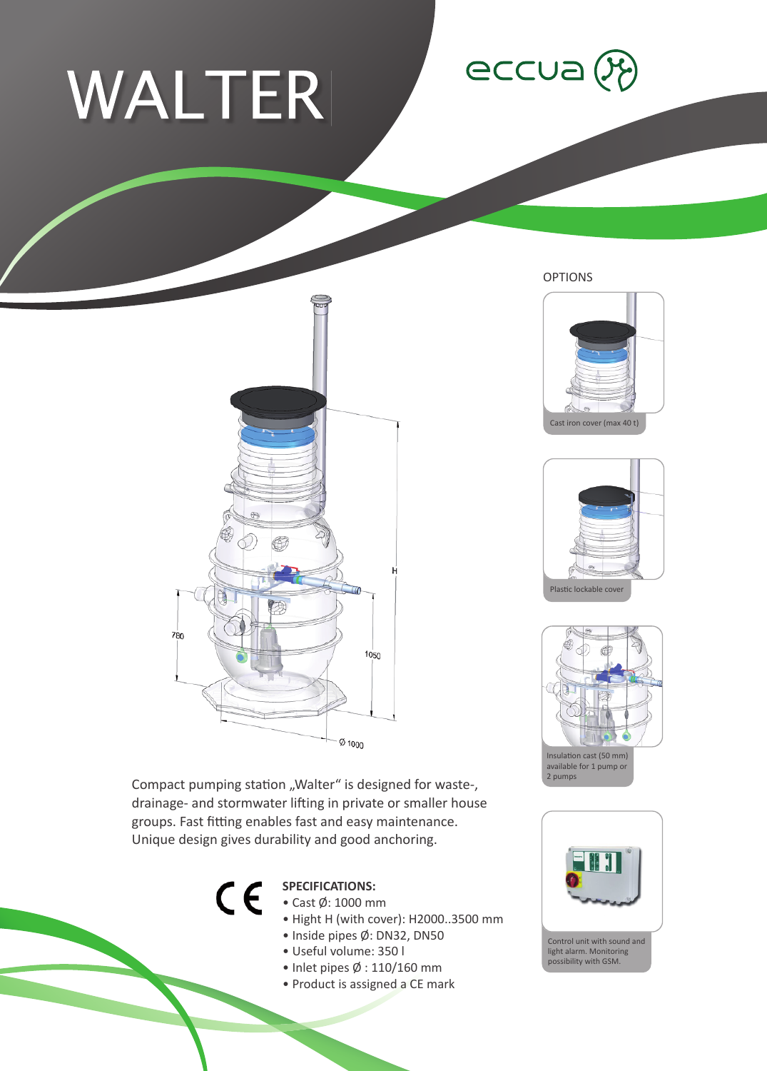## WALTER

780





OPTIONS







Compact pumping station "Walter" is designed for waste-, drainage- and stormwater lifting in private or smaller house groups. Fast fitting enables fast and easy maintenance. Unique design gives durability and good anchoring.



## **SPECIFICATIONS:**

- Cast Ø: 1000 mm
- Hight H (with cover): H2000..3500 mm
- Inside pipes Ø: DN32, DN50

 $\varnothing$  1000

- Useful volume: 350 l
- Inlet pipes Ø : 110/160 mm
- Product is assigned a CE mark